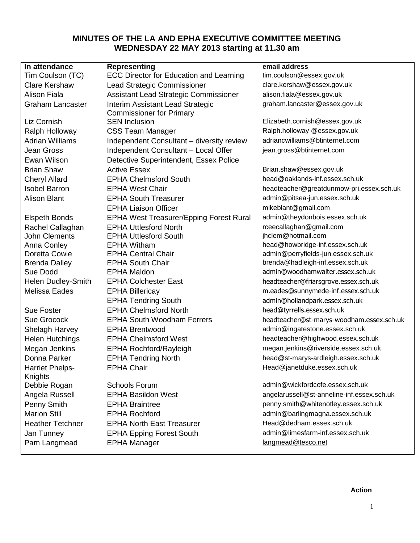# **MINUTES OF THE LA AND EPHA EXECUTIVE COMMITTEE MEETING WEDNESDAY 22 MAY 2013 starting at 11.30 am**

| In attendance           | <b>Representing</b>                            | email address                              |
|-------------------------|------------------------------------------------|--------------------------------------------|
| Tim Coulson (TC)        | <b>ECC Director for Education and Learning</b> | tim.coulson@essex.gov.uk                   |
| <b>Clare Kershaw</b>    | Lead Strategic Commissioner                    | clare.kershaw@essex.gov.uk                 |
| <b>Alison Fiala</b>     | Assistant Lead Strategic Commissioner          | alison.fiala@essex.gov.uk                  |
| <b>Graham Lancaster</b> | Interim Assistant Lead Strategic               | graham.lancaster@essex.gov.uk              |
|                         | <b>Commissioner for Primary</b>                |                                            |
| Liz Cornish             | <b>SEN Inclusion</b>                           | Elizabeth.cornish@essex.gov.uk             |
| Ralph Holloway          | <b>CSS Team Manager</b>                        | Ralph.holloway @essex.gov.uk               |
| <b>Adrian Williams</b>  | Independent Consultant - diversity review      | adriancwilliams@btinternet.com             |
| <b>Jean Gross</b>       | Independent Consultant - Local Offer           | jean.gross@btinternet.com                  |
| Ewan Wilson             | Detective Superintendent, Essex Police         |                                            |
| <b>Brian Shaw</b>       | <b>Active Essex</b>                            | Brian.shaw@essex.gov.uk                    |
| <b>Cheryl Allard</b>    | <b>EPHA Chelmsford South</b>                   | head@oaklands-inf.essex.sch.uk             |
| <b>Isobel Barron</b>    | <b>EPHA West Chair</b>                         | headteacher@greatdunmow-pri.essex.sch.uk   |
| <b>Alison Blant</b>     | <b>EPHA South Treasurer</b>                    | admin@pitsea-jun.essex.sch.uk              |
|                         | <b>EPHA Liaison Officer</b>                    | mikeblant@gmail.com                        |
| <b>Elspeth Bonds</b>    | <b>EPHA West Treasurer/Epping Forest Rural</b> | admin@theydonbois.essex.sch.uk             |
| Rachel Callaghan        | <b>EPHA Uttlesford North</b>                   | rceecallaghan@gmail.com                    |
| <b>John Clements</b>    | <b>EPHA Uttlesford South</b>                   | jhclem@hotmail.com                         |
| Anna Conley             | <b>EPHA Witham</b>                             | head@howbridge-inf.essex.sch.uk            |
| Doretta Cowie           | <b>EPHA Central Chair</b>                      | admin@perryfields-jun.essex.sch.uk         |
| <b>Brenda Dalley</b>    | <b>EPHA South Chair</b>                        | brenda@hadleigh-inf.essex.sch.uk           |
| Sue Dodd                | <b>EPHA Maldon</b>                             | admin@woodhamwalter.essex.sch.uk           |
| Helen Dudley-Smith      | <b>EPHA Colchester East</b>                    | headteacher@friarsgrove.essex.sch.uk       |
| Melissa Eades           | <b>EPHA Billericay</b>                         | m.eades@sunnymede-inf.essex.sch.uk         |
|                         | <b>EPHA Tendring South</b>                     | admin@hollandpark.essex.sch.uk             |
| <b>Sue Foster</b>       | <b>EPHA Chelmsford North</b>                   | head@tyrrells.essex.sch.uk                 |
| Sue Grocock             | <b>EPHA South Woodham Ferrers</b>              | headteacher@st-marys-woodham.essex.sch.uk  |
| Shelagh Harvey          | <b>EPHA Brentwood</b>                          | admin@ingatestone.essex.sch.uk             |
| <b>Helen Hutchings</b>  | <b>EPHA Chelmsford West</b>                    | headteacher@highwood.essex.sch.uk          |
| Megan Jenkins           | <b>EPHA Rochford/Rayleigh</b>                  | megan.jenkins@riverside.essex.sch.uk       |
| Donna Parker            | <b>EPHA Tendring North</b>                     | head@st-marys-ardleigh.essex.sch.uk        |
| Harriet Phelps-         | <b>EPHA Chair</b>                              | Head@janetduke.essex.sch.uk                |
| Knights                 |                                                |                                            |
| Debbie Rogan            | <b>Schools Forum</b>                           | admin@wickfordcofe.essex.sch.uk            |
| Angela Russell          | <b>EPHA Basildon West</b>                      | angelarussell@st-anneline-inf.essex.sch.uk |
| Penny Smith             | <b>EPHA Braintree</b>                          | penny.smith@whitenotley.essex.sch.uk       |
| <b>Marion Still</b>     | <b>EPHA Rochford</b>                           | admin@barlingmagna.essex.sch.uk            |
| <b>Heather Tetchner</b> | <b>EPHA North East Treasurer</b>               | Head@dedham.essex.sch.uk                   |
| Jan Tunney              | <b>EPHA Epping Forest South</b>                | admin@limesfarm-inf.essex.sch.uk           |
| Pam Langmead            | <b>EPHA Manager</b>                            | langmead@tesco.net                         |

**Action**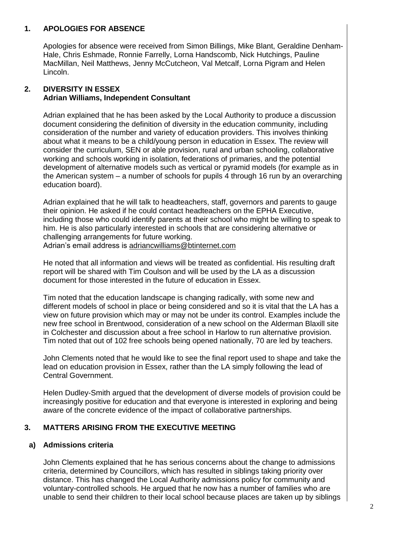### **1. APOLOGIES FOR ABSENCE**

Apologies for absence were received from Simon Billings, Mike Blant, Geraldine Denham-Hale, Chris Eshmade, Ronnie Farrelly, Lorna Handscomb, Nick Hutchings, Pauline MacMillan, Neil Matthews, Jenny McCutcheon, Val Metcalf, Lorna Pigram and Helen Lincoln.

## **2. DIVERSITY IN ESSEX Adrian Williams, Independent Consultant**

Adrian explained that he has been asked by the Local Authority to produce a discussion document considering the definition of diversity in the education community, including consideration of the number and variety of education providers. This involves thinking about what it means to be a child/young person in education in Essex. The review will consider the curriculum, SEN or able provision, rural and urban schooling, collaborative working and schools working in isolation, federations of primaries, and the potential development of alternative models such as vertical or pyramid models (for example as in the American system – a number of schools for pupils 4 through 16 run by an overarching education board).

Adrian explained that he will talk to headteachers, staff, governors and parents to gauge their opinion. He asked if he could contact headteachers on the EPHA Executive, including those who could identify parents at their school who might be willing to speak to him. He is also particularly interested in schools that are considering alternative or challenging arrangements for future working. Adrian's email address is [adriancwilliams@btinternet.com](mailto:adriancwilliams@btinternet.com)

He noted that all information and views will be treated as confidential. His resulting draft report will be shared with Tim Coulson and will be used by the LA as a discussion document for those interested in the future of education in Essex.

Tim noted that the education landscape is changing radically, with some new and different models of school in place or being considered and so it is vital that the LA has a view on future provision which may or may not be under its control. Examples include the new free school in Brentwood, consideration of a new school on the Alderman Blaxill site in Colchester and discussion about a free school in Harlow to run alternative provision. Tim noted that out of 102 free schools being opened nationally, 70 are led by teachers.

John Clements noted that he would like to see the final report used to shape and take the lead on education provision in Essex, rather than the LA simply following the lead of Central Government.

Helen Dudley-Smith argued that the development of diverse models of provision could be increasingly positive for education and that everyone is interested in exploring and being aware of the concrete evidence of the impact of collaborative partnerships.

#### **3. MATTERS ARISING FROM THE EXECUTIVE MEETING**

## **a) Admissions criteria**

John Clements explained that he has serious concerns about the change to admissions criteria, determined by Councillors, which has resulted in siblings taking priority over distance. This has changed the Local Authority admissions policy for community and voluntary-controlled schools. He argued that he now has a number of families who are unable to send their children to their local school because places are taken up by siblings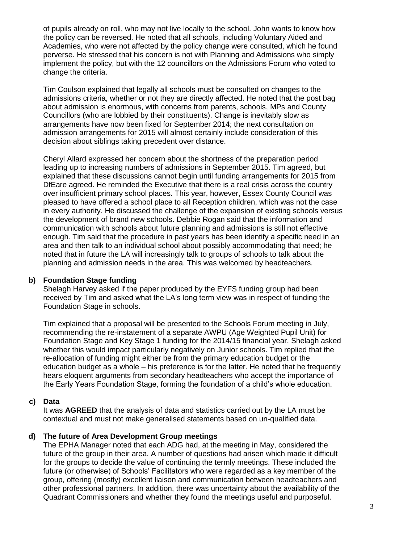of pupils already on roll, who may not live locally to the school. John wants to know how the policy can be reversed. He noted that all schools, including Voluntary Aided and Academies, who were not affected by the policy change were consulted, which he found perverse. He stressed that his concern is not with Planning and Admissions who simply implement the policy, but with the 12 councillors on the Admissions Forum who voted to change the criteria.

Tim Coulson explained that legally all schools must be consulted on changes to the admissions criteria, whether or not they are directly affected. He noted that the post bag about admission is enormous, with concerns from parents, schools, MPs and County Councillors (who are lobbied by their constituents). Change is inevitably slow as arrangements have now been fixed for September 2014; the next consultation on admission arrangements for 2015 will almost certainly include consideration of this decision about siblings taking precedent over distance.

Cheryl Allard expressed her concern about the shortness of the preparation period leading up to increasing numbers of admissions in September 2015. Tim agreed, but explained that these discussions cannot begin until funding arrangements for 2015 from DfEare agreed. He reminded the Executive that there is a real crisis across the country over insufficient primary school places. This year, however, Essex County Council was pleased to have offered a school place to all Reception children, which was not the case in every authority. He discussed the challenge of the expansion of existing schools versus the development of brand new schools. Debbie Rogan said that the information and communication with schools about future planning and admissions is still not effective enough. Tim said that the procedure in past years has been identify a specific need in an area and then talk to an individual school about possibly accommodating that need; he noted that in future the LA will increasingly talk to groups of schools to talk about the planning and admission needs in the area. This was welcomed by headteachers.

#### **b) Foundation Stage funding**

Shelagh Harvey asked if the paper produced by the EYFS funding group had been received by Tim and asked what the LA's long term view was in respect of funding the Foundation Stage in schools.

Tim explained that a proposal will be presented to the Schools Forum meeting in July, recommending the re-instatement of a separate AWPU (Age Weighted Pupil Unit) for Foundation Stage and Key Stage 1 funding for the 2014/15 financial year. Shelagh asked whether this would impact particularly negatively on Junior schools. Tim replied that the re-allocation of funding might either be from the primary education budget or the education budget as a whole – his preference is for the latter. He noted that he frequently hears eloquent arguments from secondary headteachers who accept the importance of the Early Years Foundation Stage, forming the foundation of a child's whole education.

#### **c) Data**

It was **AGREED** that the analysis of data and statistics carried out by the LA must be contextual and must not make generalised statements based on un-qualified data.

#### **d) The future of Area Development Group meetings**

The EPHA Manager noted that each ADG had, at the meeting in May, considered the future of the group in their area. A number of questions had arisen which made it difficult for the groups to decide the value of continuing the termly meetings. These included the future (or otherwise) of Schools' Facilitators who were regarded as a key member of the group, offering (mostly) excellent liaison and communication between headteachers and other professional partners. In addition, there was uncertainty about the availability of the Quadrant Commissioners and whether they found the meetings useful and purposeful.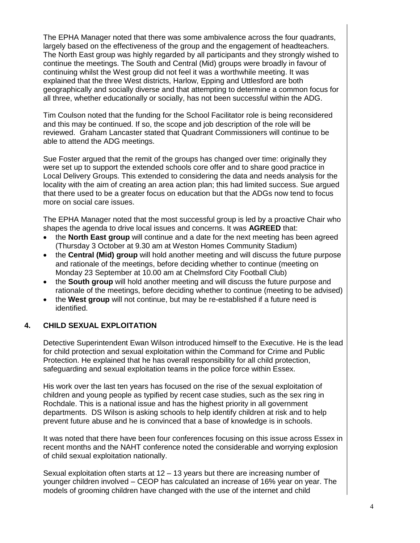The EPHA Manager noted that there was some ambivalence across the four quadrants, largely based on the effectiveness of the group and the engagement of headteachers. The North East group was highly regarded by all participants and they strongly wished to continue the meetings. The South and Central (Mid) groups were broadly in favour of continuing whilst the West group did not feel it was a worthwhile meeting. It was explained that the three West districts, Harlow, Epping and Uttlesford are both geographically and socially diverse and that attempting to determine a common focus for all three, whether educationally or socially, has not been successful within the ADG.

Tim Coulson noted that the funding for the School Facilitator role is being reconsidered and this may be continued. If so, the scope and job description of the role will be reviewed. Graham Lancaster stated that Quadrant Commissioners will continue to be able to attend the ADG meetings.

Sue Foster argued that the remit of the groups has changed over time: originally they were set up to support the extended schools core offer and to share good practice in Local Delivery Groups. This extended to considering the data and needs analysis for the locality with the aim of creating an area action plan; this had limited success. Sue argued that there used to be a greater focus on education but that the ADGs now tend to focus more on social care issues.

The EPHA Manager noted that the most successful group is led by a proactive Chair who shapes the agenda to drive local issues and concerns. It was **AGREED** that:

- the **North East group** will continue and a date for the next meeting has been agreed (Thursday 3 October at 9.30 am at Weston Homes Community Stadium)
- the **Central (Mid) group** will hold another meeting and will discuss the future purpose and rationale of the meetings, before deciding whether to continue (meeting on Monday 23 September at 10.00 am at Chelmsford City Football Club)
- the **South group** will hold another meeting and will discuss the future purpose and rationale of the meetings, before deciding whether to continue (meeting to be advised)
- the **West group** will not continue, but may be re-established if a future need is identified.

## **4. CHILD SEXUAL EXPLOITATION**

Detective Superintendent Ewan Wilson introduced himself to the Executive. He is the lead for child protection and sexual exploitation within the Command for Crime and Public Protection. He explained that he has overall responsibility for all child protection, safeguarding and sexual exploitation teams in the police force within Essex.

His work over the last ten years has focused on the rise of the sexual exploitation of children and young people as typified by recent case studies, such as the sex ring in Rochdale. This is a national issue and has the highest priority in all government departments. DS Wilson is asking schools to help identify children at risk and to help prevent future abuse and he is convinced that a base of knowledge is in schools.

It was noted that there have been four conferences focusing on this issue across Essex in recent months and the NAHT conference noted the considerable and worrying explosion of child sexual exploitation nationally.

Sexual exploitation often starts at 12 – 13 years but there are increasing number of younger children involved – CEOP has calculated an increase of 16% year on year. The models of grooming children have changed with the use of the internet and child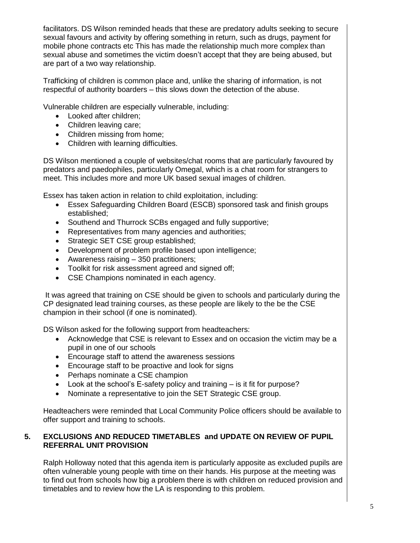facilitators. DS Wilson reminded heads that these are predatory adults seeking to secure sexual favours and activity by offering something in return, such as drugs, payment for mobile phone contracts etc This has made the relationship much more complex than sexual abuse and sometimes the victim doesn't accept that they are being abused, but are part of a two way relationship.

Trafficking of children is common place and, unlike the sharing of information, is not respectful of authority boarders – this slows down the detection of the abuse.

Vulnerable children are especially vulnerable, including:

- Looked after children:
- Children leaving care;
- Children missing from home;
- Children with learning difficulties.

DS Wilson mentioned a couple of websites/chat rooms that are particularly favoured by predators and paedophiles, particularly Omegal, which is a chat room for strangers to meet. This includes more and more UK based sexual images of children.

Essex has taken action in relation to child exploitation, including:

- Essex Safeguarding Children Board (ESCB) sponsored task and finish groups established;
- Southend and Thurrock SCBs engaged and fully supportive;
- Representatives from many agencies and authorities;
- Strategic SET CSE group established;
- Development of problem profile based upon intelligence;
- Awareness raising 350 practitioners;
- Toolkit for risk assessment agreed and signed off;
- CSE Champions nominated in each agency.

It was agreed that training on CSE should be given to schools and particularly during the CP designated lead training courses, as these people are likely to the be the CSE champion in their school (if one is nominated).

DS Wilson asked for the following support from headteachers:

- Acknowledge that CSE is relevant to Essex and on occasion the victim may be a pupil in one of our schools
- Encourage staff to attend the awareness sessions
- Encourage staff to be proactive and look for signs
- Perhaps nominate a CSE champion
- Look at the school's E-safety policy and training is it fit for purpose?
- Nominate a representative to join the SET Strategic CSE group.

Headteachers were reminded that Local Community Police officers should be available to offer support and training to schools.

## **5. EXCLUSIONS AND REDUCED TIMETABLES and UPDATE ON REVIEW OF PUPIL REFERRAL UNIT PROVISION**

Ralph Holloway noted that this agenda item is particularly apposite as excluded pupils are often vulnerable young people with time on their hands. His purpose at the meeting was to find out from schools how big a problem there is with children on reduced provision and timetables and to review how the LA is responding to this problem.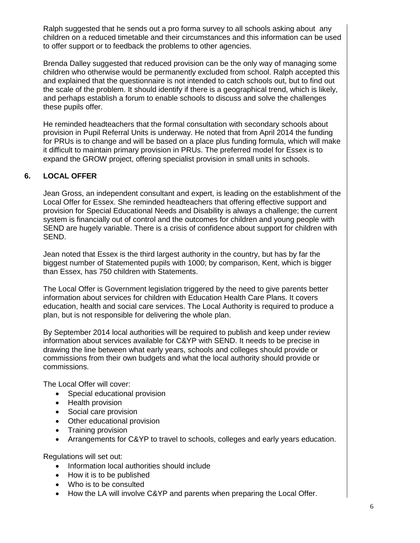Ralph suggested that he sends out a pro forma survey to all schools asking about any children on a reduced timetable and their circumstances and this information can be used to offer support or to feedback the problems to other agencies.

Brenda Dalley suggested that reduced provision can be the only way of managing some children who otherwise would be permanently excluded from school. Ralph accepted this and explained that the questionnaire is not intended to catch schools out, but to find out the scale of the problem. It should identify if there is a geographical trend, which is likely, and perhaps establish a forum to enable schools to discuss and solve the challenges these pupils offer.

He reminded headteachers that the formal consultation with secondary schools about provision in Pupil Referral Units is underway. He noted that from April 2014 the funding for PRUs is to change and will be based on a place plus funding formula, which will make it difficult to maintain primary provision in PRUs. The preferred model for Essex is to expand the GROW project, offering specialist provision in small units in schools.

## **6. LOCAL OFFER**

Jean Gross, an independent consultant and expert, is leading on the establishment of the Local Offer for Essex. She reminded headteachers that offering effective support and provision for Special Educational Needs and Disability is always a challenge; the current system is financially out of control and the outcomes for children and young people with SEND are hugely variable. There is a crisis of confidence about support for children with SEND.

Jean noted that Essex is the third largest authority in the country, but has by far the biggest number of Statemented pupils with 1000; by comparison, Kent, which is bigger than Essex, has 750 children with Statements.

The Local Offer is Government legislation triggered by the need to give parents better information about services for children with Education Health Care Plans. It covers education, health and social care services. The Local Authority is required to produce a plan, but is not responsible for delivering the whole plan.

By September 2014 local authorities will be required to publish and keep under review information about services available for C&YP with SEND. It needs to be precise in drawing the line between what early years, schools and colleges should provide or commissions from their own budgets and what the local authority should provide or commissions.

The Local Offer will cover:

- Special educational provision
- Health provision
- Social care provision
- Other educational provision
- Training provision
- Arrangements for C&YP to travel to schools, colleges and early years education.

Regulations will set out:

- Information local authorities should include
- How it is to be published
- Who is to be consulted
- How the LA will involve C&YP and parents when preparing the Local Offer.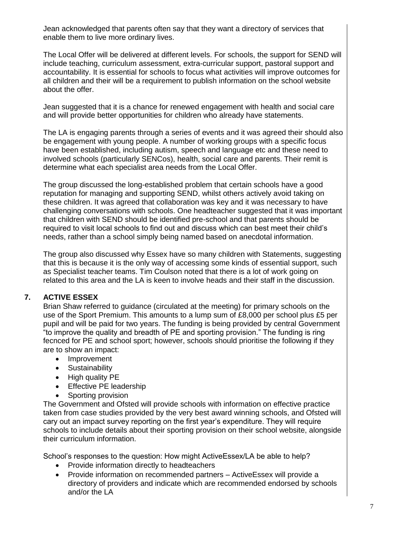Jean acknowledged that parents often say that they want a directory of services that enable them to live more ordinary lives.

The Local Offer will be delivered at different levels. For schools, the support for SEND will include teaching, curriculum assessment, extra-curricular support, pastoral support and accountability. It is essential for schools to focus what activities will improve outcomes for all children and their will be a requirement to publish information on the school website about the offer.

Jean suggested that it is a chance for renewed engagement with health and social care and will provide better opportunities for children who already have statements.

The LA is engaging parents through a series of events and it was agreed their should also be engagement with young people. A number of working groups with a specific focus have been established, including autism, speech and language etc and these need to involved schools (particularly SENCos), health, social care and parents. Their remit is determine what each specialist area needs from the Local Offer.

The group discussed the long-established problem that certain schools have a good reputation for managing and supporting SEND, whilst others actively avoid taking on these children. It was agreed that collaboration was key and it was necessary to have challenging conversations with schools. One headteacher suggested that it was important that children with SEND should be identified pre-school and that parents should be required to visit local schools to find out and discuss which can best meet their child's needs, rather than a school simply being named based on anecdotal information.

The group also discussed why Essex have so many children with Statements, suggesting that this is because it is the only way of accessing some kinds of essential support, such as Specialist teacher teams. Tim Coulson noted that there is a lot of work going on related to this area and the LA is keen to involve heads and their staff in the discussion.

# **7. ACTIVE ESSEX**

Brian Shaw referred to guidance (circulated at the meeting) for primary schools on the use of the Sport Premium. This amounts to a lump sum of £8,000 per school plus £5 per pupil and will be paid for two years. The funding is being provided by central Government "to improve the quality and breadth of PE and sporting provision." The funding is ring fecnced for PE and school sport; however, schools should prioritise the following if they are to show an impact:

- Improvement
- Sustainability
- High quality PE
- Effective PE leadership
- Sporting provision

The Government and Ofsted will provide schools with information on effective practice taken from case studies provided by the very best award winning schools, and Ofsted will cary out an impact survey reporting on the first year's expenditure. They will require schools to include details about their sporting provision on their school website, alongside their curriculum information.

School's responses to the question: How might ActiveEssex/LA be able to help?

- Provide information directly to headteachers
- Provide information on recommended partners ActiveEssex will provide a directory of providers and indicate which are recommended endorsed by schools and/or the LA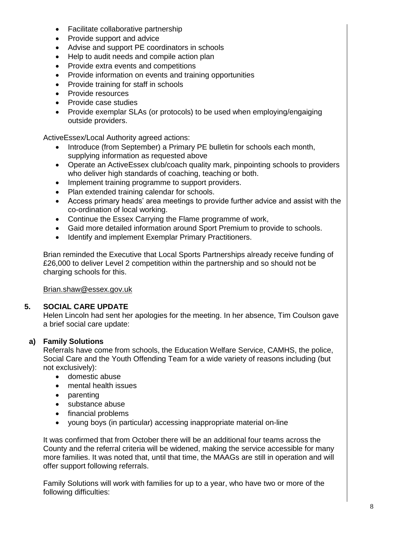- Facilitate collaborative partnership
- Provide support and advice
- Advise and support PE coordinators in schools
- Help to audit needs and compile action plan
- Provide extra events and competitions
- Provide information on events and training opportunities
- Provide training for staff in schools
- Provide resources
- Provide case studies
- Provide exemplar SLAs (or protocols) to be used when employing/engaiging outside providers.

ActiveEssex/Local Authority agreed actions:

- Introduce (from September) a Primary PE bulletin for schools each month, supplying information as requested above
- Operate an ActiveEssex club/coach quality mark, pinpointing schools to providers who deliver high standards of coaching, teaching or both.
- Implement training programme to support providers.
- Plan extended training calendar for schools.
- Access primary heads' area meetings to provide further advice and assist with the co-ordination of local working.
- Continue the Essex Carrying the Flame programme of work,
- Gaid more detailed information around Sport Premium to provide to schools.
- Identify and implement Exemplar Primary Practitioners.

Brian reminded the Executive that Local Sports Partnerships already receive funding of £26,000 to deliver Level 2 competition within the partnership and so should not be charging schools for this.

[Brian.shaw@essex.gov.uk](mailto:Brian.shaw@essex.gov.uk)

#### **5. SOCIAL CARE UPDATE**

Helen Lincoln had sent her apologies for the meeting. In her absence, Tim Coulson gave a brief social care update:

## **a) Family Solutions**

Referrals have come from schools, the Education Welfare Service, CAMHS, the police, Social Care and the Youth Offending Team for a wide variety of reasons including (but not exclusively):

- domestic abuse
- mental health issues
- parenting
- substance abuse
- financial problems
- young boys (in particular) accessing inappropriate material on-line

It was confirmed that from October there will be an additional four teams across the County and the referral criteria will be widened, making the service accessible for many more families. It was noted that, until that time, the MAAGs are still in operation and will offer support following referrals.

Family Solutions will work with families for up to a year, who have two or more of the following difficulties: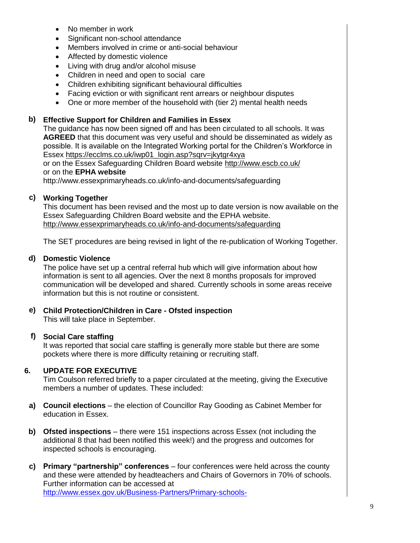- No member in work
- Significant non-school attendance
- Members involved in crime or anti-social behaviour
- Affected by domestic violence
- Living with drug and/or alcohol misuse
- Children in need and open to social care
- Children exhibiting significant behavioural difficulties
- Facing eviction or with significant rent arrears or neighbour disputes
- One or more member of the household with (tier 2) mental health needs

## **b) Effective Support for Children and Families in Essex**

The guidance has now been signed off and has been circulated to all schools. It was **AGREED** that this document was very useful and should be disseminated as widely as possible. It is available on the Integrated Working portal for the Children's Workforce in Essex [https://ecclms.co.uk/iwp01\\_login.asp?sqrv=jkytgr4xya](https://ecclms.co.uk/iwp01_login.asp?sqrv=jkytgr4xya)

or on the Essex Safeguarding Children Board website<http://www.escb.co.uk/> or on the **EPHA website**

http://www.essexprimaryheads.co.uk/info-and-documents/safeguarding

## **c) Working Together**

This document has been revised and the most up to date version is now available on the Essex Safeguarding Children Board website and the EPHA website. <http://www.essexprimaryheads.co.uk/info-and-documents/safeguarding>

The SET procedures are being revised in light of the re-publication of Working Together.

### **d) Domestic Violence**

The police have set up a central referral hub which will give information about how information is sent to all agencies. Over the next 8 months proposals for improved communication will be developed and shared. Currently schools in some areas receive information but this is not routine or consistent.

### **e) Child Protection/Children in Care - Ofsted inspection**

This will take place in September.

### **f) Social Care staffing**

It was reported that social care staffing is generally more stable but there are some pockets where there is more difficulty retaining or recruiting staff.

#### **6. UPDATE FOR EXECUTIVE**

Tim Coulson referred briefly to a paper circulated at the meeting, giving the Executive members a number of updates. These included:

- **a) Council elections** the election of Councillor Ray Gooding as Cabinet Member for education in Essex.
- **b) Ofsted inspections** there were 151 inspections across Essex (not including the additional 8 that had been notified this week!) and the progress and outcomes for inspected schools is encouraging.
- **c) Primary "partnership" conferences** four conferences were held across the county and these were attended by headteachers and Chairs of Governors in 70% of schools. Further information can be accessed at [http://www.essex.gov.uk/Business-Partners/Primary-schools-](http://www.essex.gov.uk/Business-Partners/Primary-schools-excellence/Pages/Default.aspx)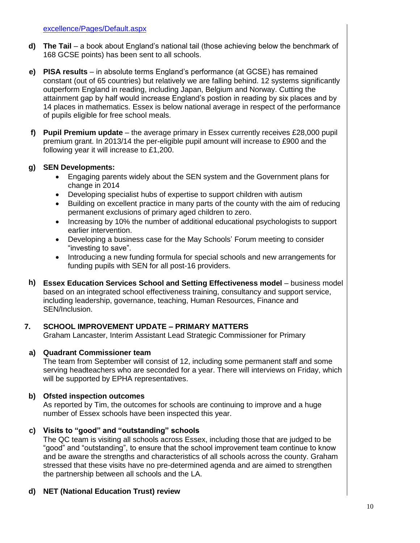- **d) The Tail** a book about England's national tail (those achieving below the benchmark of 168 GCSE points) has been sent to all schools.
- **e) PISA results** in absolute terms England's performance (at GCSE) has remained constant (out of 65 countries) but relatively we are falling behind. 12 systems significantly outperform England in reading, including Japan, Belgium and Norway. Cutting the attainment gap by half would increase England's postion in reading by six places and by 14 places in mathematics. Essex is below national average in respect of the performance of pupils eligible for free school meals.
- **f) Pupil Premium update**  the average primary in Essex currently receives £28,000 pupil premium grant. In 2013/14 the per-eligible pupil amount will increase to £900 and the following year it will increase to £1,200.

## **g) SEN Developments:**

- Engaging parents widely about the SEN system and the Government plans for change in 2014
- Developing specialist hubs of expertise to support children with autism
- Building on excellent practice in many parts of the county with the aim of reducing permanent exclusions of primary aged children to zero.
- Increasing by 10% the number of additional educational psychologists to support earlier intervention.
- Developing a business case for the May Schools' Forum meeting to consider "investing to save".
- Introducing a new funding formula for special schools and new arrangements for funding pupils with SEN for all post-16 providers.
- **h) Essex Education Services School and Setting Effectiveness model** business model based on an integrated school effectiveness training, consultancy and support service, including leadership, governance, teaching, Human Resources, Finance and SEN/Inclusion.

#### **7. SCHOOL IMPROVEMENT UPDATE – PRIMARY MATTERS**

Graham Lancaster, Interim Assistant Lead Strategic Commissioner for Primary

## **a) Quadrant Commissioner team**

The team from September will consist of 12, including some permanent staff and some serving headteachers who are seconded for a year. There will interviews on Friday, which will be supported by EPHA representatives.

## **b) Ofsted inspection outcomes**

As reported by Tim, the outcomes for schools are continuing to improve and a huge number of Essex schools have been inspected this year.

## **c) Visits to "good" and "outstanding" schools**

The QC team is visiting all schools across Essex, including those that are judged to be "good" and "outstanding", to ensure that the school improvement team continue to know and be aware the strengths and characteristics of all schools across the county. Graham stressed that these visits have no pre-determined agenda and are aimed to strengthen the partnership between all schools and the LA.

# **d) NET (National Education Trust) review**